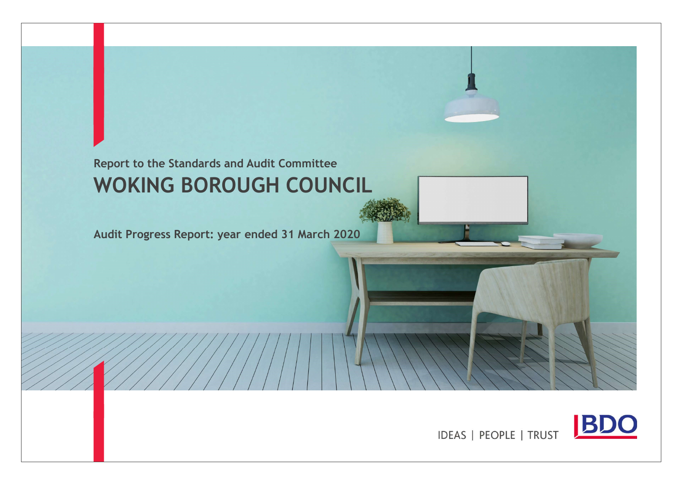# Report to the Standards and Audit Committee WOKING BOROUGH COUNCIL

Audit Progress Report: year ended 31 March 2020



IDEAS | PEOPLE | TRUST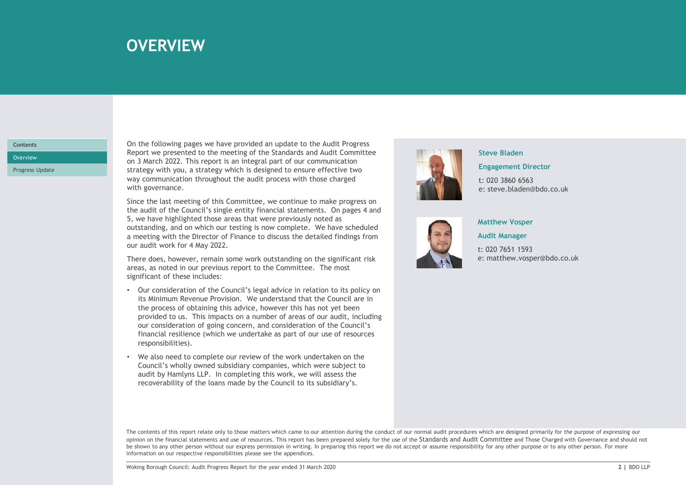## over the state of the **OVERVIEW** in the state of the state of the state of the state of the state of the state of the state of the state of the state of the state of the state of the state of the state of the state of the

## **Contents**

Progress Update

On the following pages we have provided an update to the Audit Progress Report we presented to the meeting of the Standards and Audit Committee Overview **Example 2022.** This report is an integral part of our communication strategy with you, a strategy which is designed to ensure effective two **OVERVIEW**<br>
On the following pages we have provided an update to the Audit Progress<br>
Report we presented to the meeting of the Standards and Audit Committee<br>
on 3 March 2022. This report is an integral part of our communic **OVERVIEW**<br>
On the following pages we have provided an update to the Audit Progress<br>
Report we presented to the meeting of the Standards and Audit Committee<br>
on 3 March 2022. This report is an integral part of our communic

Since the last meeting of this Committee, we continue to make progress on the audit of the Council's single entity financial statements. On pages 4 and 5, we have highlighted those areas that were previously noted as outstanding, and on which our testing is now complete. We have scheduled a meeting with the Director of Finance to discuss the detailed findings from our audit work for 4 May 2022.

There does, however, remain some work outstanding on the significant risk areas, as noted in our previous report to the Committee. The most significant of these includes:

- There does, however, remain some work outstanding on the significant risk<br>
areas, as noted in our previous report to the Council:<br>
Significant of these includes:<br>
The process of obtaining this advice, however this has not • Our consideration of the Council's legal advice in relation to its policy on its Minimum Revenue Provision. We understand that the Council are in the process of obtaining this advice, however this has not yet been provided to us. This impacts on a number of areas of our audit, including our consideration of going concern, and consideration of the Council's financial resilience (which we undertake as part of our use of resources responsibilities). and to the Countrillation of going to the control of the Countrillation<br>of the computation in the state of the control of the and the properties we have the last meeting of this Committee, we continue to make progress on<br>a
- We also need to complete our review of the work undertaken on the Council's wholly owned subsidiary companies, which were subject to recoverability of the loans made by the Council to its subsidiary's.



#### Steve Bladen

#### Engagement Director

t: 020 3860 6563 e: steve.bladen@bdo.co.uk



### Matthew Vosper

Audit Manager

t: 020 7651 1593 e: matthew.vosper@bdo.co.uk

The contents of this report relate only to those matters which came to our attention during the conduct of our normal audit procedures which are designed primarily for the purpose of expressing our opinion on the financial statements and use of resources. This report has been prepared solely for the use of the Standards and Audit Committee and Those Charged with Governance and should not be shown to any other person without our express permission in writing. In preparing this report we do not accept or assume responsibility for any other purpose or to any other person. For more information on our respective responsibilities please see the appendices.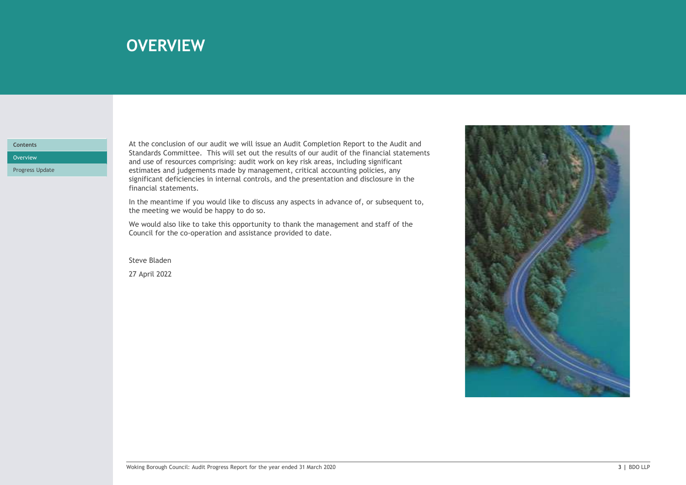## over the summary of the control of the summary summary  $\sim$  10  $\mu$  m  $\sim$  10  $\mu$  m  $\sim$  10  $\mu$  m  $\sim$  10  $\mu$

### **Contents**

Progress Update

At the conclusion of our audit we will issue an Audit Completion Report to the Audit and Standards Committee. This will set out the results of our audit of the financial statements Overview **Example 2008** Commences comprising: audit work on key risk areas, including significant and the comprision of the comprision of the comprision of the comprision of the comprision of the comprision of the comprisi estimates and judgements made by management, critical accounting policies, any significant deficiencies in internal controls, and the presentation and disclosure in the financial statements.

> In the meantime if you would like to discuss any aspects in advance of, or subsequent to, the meeting we would be happy to do so.

We would also like to take this opportunity to thank the management and staff of the Council for the co-operation and assistance provided to date.

Steve Bladen 27 April 2022

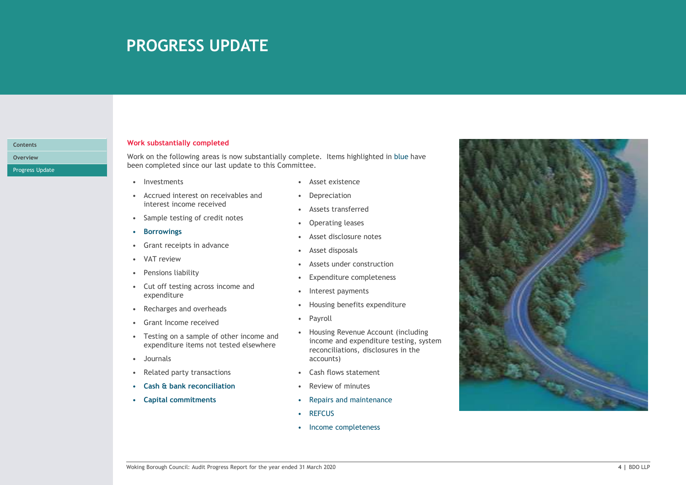## PROGRESS UPDATE

#### Contents

Progress Update

### Work substantially completed

• PROGRESS UPDATE<br>
• Investmentially completed<br>
• Investments<br>
• Investments<br>
• Investments<br>
• Investments<br>
• Investments<br>
• Investments<br>
• Investments<br>
• Investments<br>
• Investments<br>
• Investments<br>
• Investments<br>
• Interes • PROGRESS UPDATE<br>
• Accrued interest on receivables and the following areas is now substantially complete. Items highlighted in blue<br>
• Investments<br>
• Acset existence<br>
• Accrued interest income receivables and<br>
• Sample t • **PROGRESS UPDATE**<br>• Sample testing ompleted<br>• Sample testing areas is now substantially complete. Items highlighted in blue<br>• Growth on the following areas is now substantially complete. Items highlighted in blue<br>• Inves • Constantially completed<br>
• Grant Substantially completed<br>
• Grant receiving areas is now substantially complete. Items highlighted in blue<br>
• Exercuted increase our last update to this Committee.<br>
• Asset existence<br>
• C FORMED SUPPAIL<br>
Fork substantially completed<br>
een completed since our last update to this Complete. Items highlighted in blue<br>
een completed since our last update to this Committee.<br>
• Investments<br>
• Concert income receive <table>\n<tbody>\n<tr>\n<th>Ork substantially completed</th>\n<th>Ork</th>\n<th>substantially completed</th>\n</tr>\n<tr>\n<td>Ork on the following areas is now substantially complete. Items highlighted in blue<br/>een completed since our last update to this Committee.</td>\n</tr>\n<tr>\n<td>• Invertments</td>\n<td>• Asset existence</td>\n</tr>\n<tr>\n<td>• Acreud interest on receivables and</td>\n<td>• Depreciation</td>\n</tr>\n<tr>\n<td>• its expected increase</td>\n<td>• Asset distance</td>\n</tr>\n<tr>\n<td>• Some testing of credit notes</td>\n<td>• Asset distance</td>\n</tr>\n<tr>\n<td>• a more interesting class</td>\n<td>• Asset discussed</td>\n Fork substantially completed<br>
Fork on the following areas is now substantially complete. Items highlighted in blue<br>
een completed since our last update to this Committee.<br>
• Investments<br>
• Cut of testing of credit notes <table>\n<tbody>\n<tr>\n<th>York substantially completed</th>\n<th>Work substantially completed</th>\n</tr>\n<tr>\n<td>fork on the following areas is now substantially complete. Items highlighted in blue</td>\n</tr>\n<tr>\n<td>even completed since our last update to this Committee.</td>\n<td>Asset existence</td>\n</tr>\n<tr>\n<td>• According interest on received</td>\n<td>Asset instance</td>\n</tr>\n<tr>\n<td>• Ascreted interest on received</td>\n<td>Asest asr</td>\n</tr>\n<tr>\n<td>• Converving</td>\n<td>• Asset distance</td>\n</tr>\n<tr>\n<td>• Converving</td>\n<td>• Asset distance</td>\n</tr>\n<tr>\n<td>• Forowings</td>\n<td>• A Fork substantially completed<br>
Fork on the following areas is now substantially complete. Items highlighted in blue<br>
een completed since our last update to this Committee.<br>
• Asset existence<br>
• Accrued interest income Fork substantially completed<br>
Fork on the following areas is now substantially complete. Items highlighted in blue<br>
even completed since our last update to this Committee.<br>
• Investments<br>
• Accrued interest in creeivabl For the following areas is now substantially complete. Items highlighted in blue<br>
even completed since our last update to this Committee.<br>
• Journalist Committee and the control of the committee of the control of the commi Work on the following areas is now substantially complete. Items highlighted in blue have Overview been completed since our last update to this Committee.

- 
- interest income received
- 
- 
- 
- 
- 
- expenditure
- 
- 
- expenditure items not tested elsewhere
- 
- 
- 
- 
- 
- 
- 
- 
- 
- 
- 
- 
- 
- 
- 
- exampleted since our last update to this Committee.<br>
 Asset existence<br>
 Accrued interest income receivables and<br>
 Depreciation<br>
 Sample testing of credit notes<br>
 Sample testing for credit notes<br>
 Caset disclosure not income and expenditure testing, system reconciliations, disclosures in the accounts)
	-
	-
- Capital commitments **•** Repairs and maintenance
	-
	-